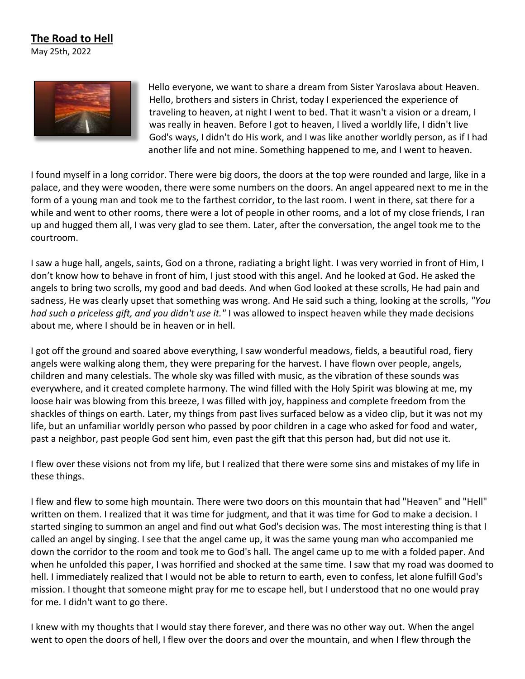## **The Road to Hell**

May 25th, 2022



Hello everyone, we want to share a dream from Sister Yaroslava about Heaven. Hello, brothers and sisters in Christ, today I experienced the experience of traveling to heaven, at night I went to bed. That it wasn't a vision or a dream, I was really in heaven. Before I got to heaven, I lived a worldly life, I didn't live God's ways, I didn't do His work, and I was like another worldly person, as if I had another life and not mine. Something happened to me, and I went to heaven.

I found myself in a long corridor. There were big doors, the doors at the top were rounded and large, like in a palace, and they were wooden, there were some numbers on the doors. An angel appeared next to me in the form of a young man and took me to the farthest corridor, to the last room. I went in there, sat there for a while and went to other rooms, there were a lot of people in other rooms, and a lot of my close friends, I ran up and hugged them all, I was very glad to see them. Later, after the conversation, the angel took me to the courtroom.

I saw a huge hall, angels, saints, God on a throne, radiating a bright light. I was very worried in front of Him, I don't know how to behave in front of him, I just stood with this angel. And he looked at God. He asked the angels to bring two scrolls, my good and bad deeds. And when God looked at these scrolls, He had pain and sadness, He was clearly upset that something was wrong. And He said such a thing, looking at the scrolls, *"You had such a priceless gift, and you didn't use it."* I was allowed to inspect heaven while they made decisions about me, where I should be in heaven or in hell.

I got off the ground and soared above everything, I saw wonderful meadows, fields, a beautiful road, fiery angels were walking along them, they were preparing for the harvest. I have flown over people, angels, children and many celestials. The whole sky was filled with music, as the vibration of these sounds was everywhere, and it created complete harmony. The wind filled with the Holy Spirit was blowing at me, my loose hair was blowing from this breeze, I was filled with joy, happiness and complete freedom from the shackles of things on earth. Later, my things from past lives surfaced below as a video clip, but it was not my life, but an unfamiliar worldly person who passed by poor children in a cage who asked for food and water, past a neighbor, past people God sent him, even past the gift that this person had, but did not use it.

I flew over these visions not from my life, but I realized that there were some sins and mistakes of my life in these things.

I flew and flew to some high mountain. There were two doors on this mountain that had "Heaven" and "Hell" written on them. I realized that it was time for judgment, and that it was time for God to make a decision. I started singing to summon an angel and find out what God's decision was. The most interesting thing is that I called an angel by singing. I see that the angel came up, it was the same young man who accompanied me down the corridor to the room and took me to God's hall. The angel came up to me with a folded paper. And when he unfolded this paper, I was horrified and shocked at the same time. I saw that my road was doomed to hell. I immediately realized that I would not be able to return to earth, even to confess, let alone fulfill God's mission. I thought that someone might pray for me to escape hell, but I understood that no one would pray for me. I didn't want to go there.

I knew with my thoughts that I would stay there forever, and there was no other way out. When the angel went to open the doors of hell, I flew over the doors and over the mountain, and when I flew through the